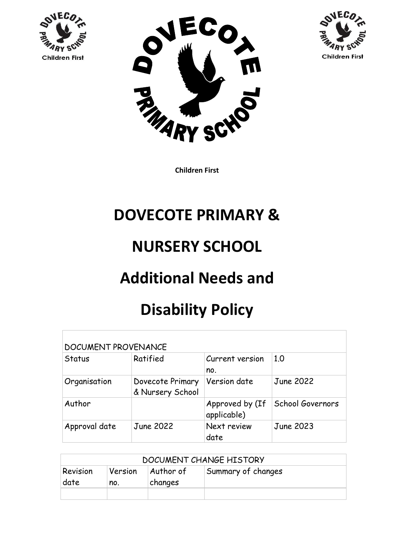





## **DOVECOTE PRIMARY &**

## **NURSERY SCHOOL**

# **Additional Needs and**

## **Disability Policy**

| <b>DOCUMENT PROVENANCE</b> |                                      |                                |                         |  |  |
|----------------------------|--------------------------------------|--------------------------------|-------------------------|--|--|
| Status                     | Ratified                             | Current version<br>no.         | 1.0                     |  |  |
| Organisation               | Dovecote Primary<br>& Nursery School | Version date                   | <b>June 2022</b>        |  |  |
| Author                     |                                      | Approved by (If<br>applicable) | <b>School Governors</b> |  |  |
| Approval date              | June 2022                            | Next review<br>date            | June 2023               |  |  |

| DOCUMENT CHANGE HISTORY |                |                      |                    |  |  |
|-------------------------|----------------|----------------------|--------------------|--|--|
| Revision<br>date        | Version<br>no. | Author of<br>changes | Summary of changes |  |  |
|                         |                |                      |                    |  |  |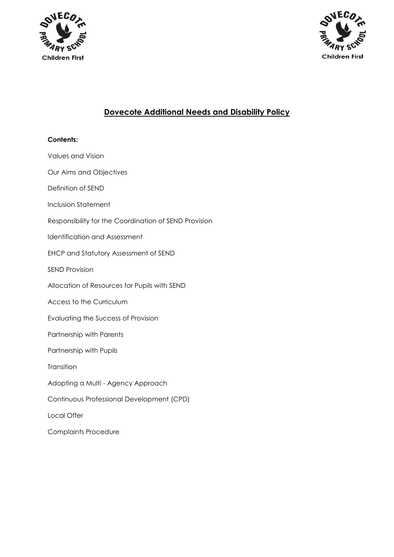



### **Dovecote Additional Needs and Disability Policy**

### **Contents:**  Values and Vision Our Aims and Objectives Definition of SEND Inclusion Statement Responsibility for the Coordination of SEND Provision Identification and Assessment EHCP and Statutory Assessment of SEND SEND Provision Allocation of Resources for Pupils with SEND Access to the Curriculum Evaluating the Success of Provision Partnership with Parents Partnership with Pupils **Transition** Adopting a Multi - Agency Approach Continuous Professional Development (CPD) Local Offer Complaints Procedure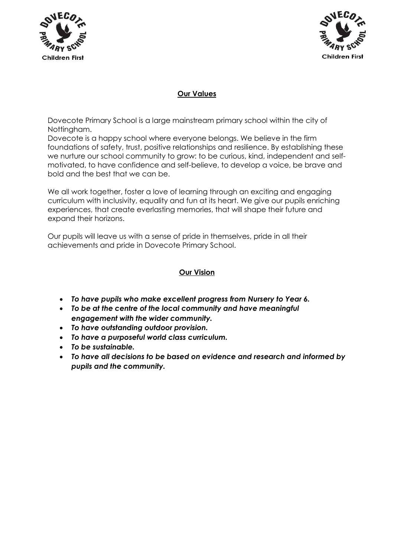



#### **Our Values**

Dovecote Primary School is a large mainstream primary school within the city of Nottingham.

Dovecote is a happy school where everyone belongs. We believe in the firm foundations of safety, trust, positive relationships and resilience. By establishing these we nurture our school community to grow: to be curious, kind, independent and selfmotivated, to have confidence and self-believe, to develop a voice, be brave and bold and the best that we can be.

We all work together, foster a love of learning through an exciting and engaging curriculum with inclusivity, equality and fun at its heart. We give our pupils enriching experiences, that create everlasting memories, that will shape their future and expand their horizons.

Our pupils will leave us with a sense of pride in themselves, pride in all their achievements and pride in Dovecote Primary School.

#### **Our Vision**

- *To have pupils who make excellent progress from Nursery to Year 6.*
- *To be at the centre of the local community and have meaningful engagement with the wider community.*
- *To have outstanding outdoor provision.*
- *To have a purposeful world class curriculum.*
- *To be sustainable.*
- *To have all decisions to be based on evidence and research and informed by pupils and the community.*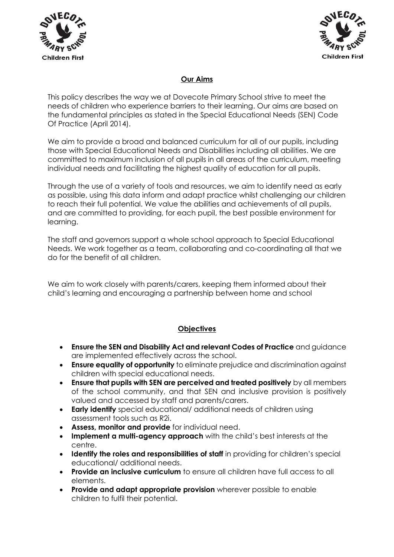



#### **Our Aims**

This policy describes the way we at Dovecote Primary School strive to meet the needs of children who experience barriers to their learning. Our aims are based on the fundamental principles as stated in the Special Educational Needs (SEN) Code Of Practice (April 2014).

We aim to provide a broad and balanced curriculum for all of our pupils, including those with Special Educational Needs and Disabilities including all abilities. We are committed to maximum inclusion of all pupils in all areas of the curriculum, meeting individual needs and facilitating the highest quality of education for all pupils.

Through the use of a variety of tools and resources, we aim to identify need as early as possible, using this data inform and adapt practice whilst challenging our children to reach their full potential. We value the abilities and achievements of all pupils, and are committed to providing, for each pupil, the best possible environment for learning.

The staff and governors support a whole school approach to Special Educational Needs. We work together as a team, collaborating and co-coordinating all that we do for the benefit of all children.

We aim to work closely with parents/carers, keeping them informed about their child's learning and encouraging a partnership between home and school

#### **Objectives**

- **Ensure the SEN and Disability Act and relevant Codes of Practice** and guidance are implemented effectively across the school.
- **Ensure equality of opportunity** to eliminate prejudice and discrimination against children with special educational needs.
- **Ensure that pupils with SEN are perceived and treated positively** by all members of the school community, and that SEN and inclusive provision is positively valued and accessed by staff and parents/carers.
- **Early identify** special educational/ additional needs of children using assessment tools such as R2i.
- **Assess, monitor and provide** for individual need.
- **Implement a multi-agency approach** with the child's best interests at the centre.
- **Identify the roles and responsibilities of staff** in providing for children's special educational/ additional needs.
- **Provide an inclusive curriculum** to ensure all children have full access to all elements.
- **Provide and adapt appropriate provision** wherever possible to enable children to fulfil their potential.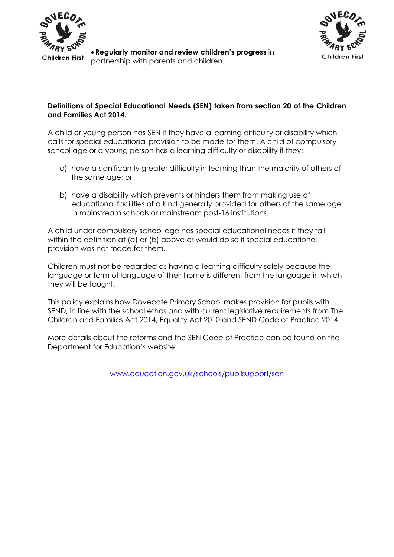



#### **Definitions of Special Educational Needs (SEN) taken from section 20 of the Children and Families Act 2014.**

A child or young person has SEN if they have a learning difficulty or disability which calls for special educational provision to be made for them. A child of compulsory school age or a young person has a learning difficulty or disability if they:

- a) have a significantly greater difficulty in learning than the majority of others of the same age; or
- b) have a disability which prevents or hinders them from making use of educational facilities of a kind generally provided for others of the same age in mainstream schools or mainstream post-16 institutions.

A child under compulsory school age has special educational needs if they fall within the definition at (a) or (b) above or would do so if special educational provision was not made for them.

Children must not be regarded as having a learning difficulty solely because the language or form of language of their home is different from the language in which they will be taught.

This policy explains how Dovecote Primary School makes provision for pupils with SEND, in line with the school ethos and with current legislative requirements from The Children and Families Act 2014, Equality Act 2010 and SEND Code of Practice 2014.

More details about the reforms and the SEN Code of Practice can be found on the Department for Education's website:

[www.education.gov.uk/schools/pupilsupport/sen](http://www.education.gov.uk/schools/pupilsupport/sen)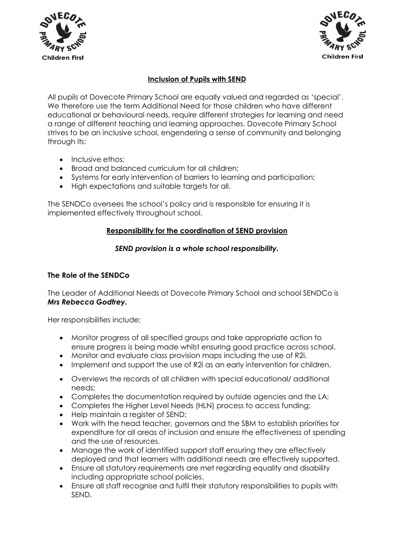



#### **Inclusion of Pupils with SEND**

All pupils at Dovecote Primary School are equally valued and regarded as 'special'. We therefore use the term Additional Need for those children who have different educational or behavioural needs, require different strategies for learning and need a range of different teaching and learning approaches. Dovecote Primary School strives to be an inclusive school, engendering a sense of community and belonging through its:

- Inclusive ethos:
- Broad and balanced curriculum for all children;
- Systems for early intervention of barriers to learning and participation;
- High expectations and suitable targets for all.

The SENDCo oversees the school's policy and is responsible for ensuring it is implemented effectively throughout school.

#### **Responsibility for the coordination of SEND provision**

#### *SEND provision is a whole school responsibility.*

#### **The Role of the SENDCo**

The Leader of Additional Needs at Dovecote Primary School and school SENDCo is *Mrs Rebecca Godfrey.* 

Her responsibilities include;

- Monitor progress of all specified groups and take appropriate action to ensure progress is being made whilst ensuring good practice across school.
- Monitor and evaluate class provision maps including the use of R2i.
- Implement and support the use of R2i as an early intervention for children.
- Overviews the records of all children with special educational/ additional needs;
- Completes the documentation required by outside agencies and the LA;
- Completes the Higher Level Needs (HLN) process to access funding;
- Help maintain a register of SEND;
- Work with the head teacher, governors and the SBM to establish priorities for expenditure for all areas of inclusion and ensure the effectiveness of spending and the use of resources.
- Manage the work of identified support staff ensuring they are effectively deployed and that learners with additional needs are effectively supported.
- Ensure all statutory requirements are met regarding equality and disability including appropriate school policies.
- Ensure all staff recognise and fulfil their statutory responsibilities to pupils with SEND.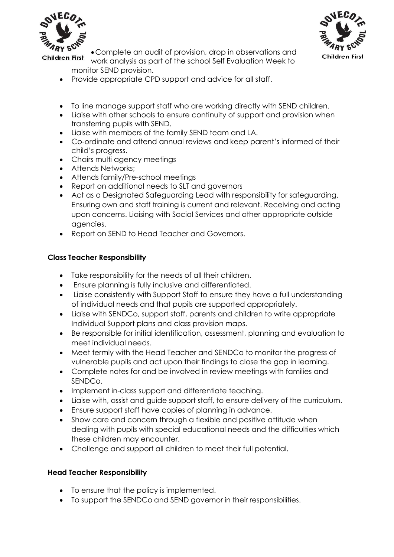



• Complete an audit of provision, drop in observations and **Children First** work analysis as part of the school Self Evaluation Week to

monitor SEND provision.

- Provide appropriate CPD support and advice for all staff.
- To line manage support staff who are working directly with SEND children.
- Liaise with other schools to ensure continuity of support and provision when transferring pupils with SEND.
- Liaise with members of the family SEND team and LA.
- Co-ordinate and attend annual reviews and keep parent's informed of their child's progress.
- Chairs multi agency meetings
- Attends Networks;
- Attends family/Pre-school meetings
- Report on additional needs to SLT and governors
- Act as a Designated Safeguarding Lead with responsibility for safeguarding. Ensuring own and staff training is current and relevant. Receiving and acting upon concerns. Liaising with Social Services and other appropriate outside agencies.
- Report on SEND to Head Teacher and Governors.

### **Class Teacher Responsibility**

- Take responsibility for the needs of all their children.
- Ensure planning is fully inclusive and differentiated.
- Liaise consistently with Support Staff to ensure they have a full understanding of individual needs and that pupils are supported appropriately.
- Liaise with SENDCo, support staff, parents and children to write appropriate Individual Support plans and class provision maps.
- Be responsible for initial identification, assessment, planning and evaluation to meet individual needs.
- Meet termly with the Head Teacher and SENDCo to monitor the progress of vulnerable pupils and act upon their findings to close the gap in learning.
- Complete notes for and be involved in review meetings with families and SENDCo.
- Implement in-class support and differentiate teaching.
- Liaise with, assist and guide support staff, to ensure delivery of the curriculum.
- Ensure support staff have copies of planning in advance.
- Show care and concern through a flexible and positive attitude when dealing with pupils with special educational needs and the difficulties which these children may encounter.
- Challenge and support all children to meet their full potential.

### **Head Teacher Responsibility**

- To ensure that the policy is implemented.
- To support the SENDCo and SEND governor in their responsibilities.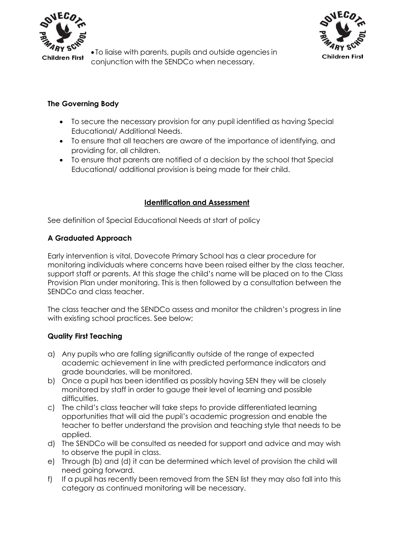

• To liaise with parents, pupils and outside agencies in conjunction with the SENDCo when necessary.



#### **The Governing Body**

- To secure the necessary provision for any pupil identified as having Special Educational/ Additional Needs.
- To ensure that all teachers are aware of the importance of identifying, and providing for, all children.
- To ensure that parents are notified of a decision by the school that Special Educational/ additional provision is being made for their child.

#### **Identification and Assessment**

See definition of Special Educational Needs at start of policy

#### **A Graduated Approach**

Early intervention is vital, Dovecote Primary School has a clear procedure for monitoring individuals where concerns have been raised either by the class teacher, support staff or parents. At this stage the child's name will be placed on to the Class Provision Plan under monitoring. This is then followed by a consultation between the SENDCo and class teacher.

The class teacher and the SENDCo assess and monitor the children's progress in line with existing school practices. See below;

#### **Quality First Teaching**

- a) Any pupils who are falling significantly outside of the range of expected academic achievement in line with predicted performance indicators and grade boundaries, will be monitored.
- b) Once a pupil has been identified as possibly having SEN they will be closely monitored by staff in order to gauge their level of learning and possible difficulties.
- c) The child's class teacher will take steps to provide differentiated learning opportunities that will aid the pupil's academic progression and enable the teacher to better understand the provision and teaching style that needs to be applied.
- d) The SENDCo will be consulted as needed for support and advice and may wish to observe the pupil in class.
- e) Through (b) and (d) it can be determined which level of provision the child will need going forward.
- f) If a pupil has recently been removed from the SEN list they may also fall into this category as continued monitoring will be necessary.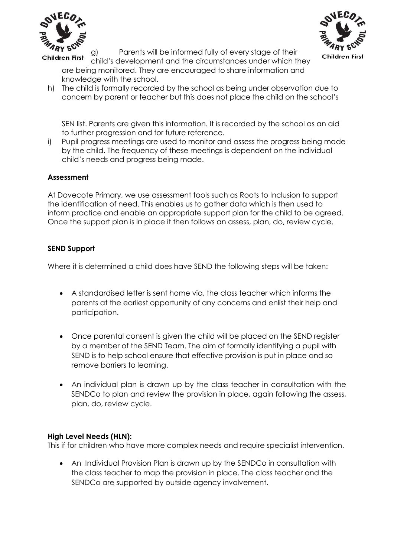

Children First

g) Parents will be informed fully of every stage of their

**Children First** child's development and the circumstances under which they are being monitored. They are encouraged to share information and knowledge with the school.

h) The child is formally recorded by the school as being under observation due to concern by parent or teacher but this does not place the child on the school's

SEN list. Parents are given this information. It is recorded by the school as an aid to further progression and for future reference.

i) Pupil progress meetings are used to monitor and assess the progress being made by the child. The frequency of these meetings is dependent on the individual child's needs and progress being made.

#### **Assessment**

At Dovecote Primary, we use assessment tools such as Roots to Inclusion to support the identification of need. This enables us to gather data which is then used to inform practice and enable an appropriate support plan for the child to be agreed. Once the support plan is in place it then follows an assess, plan, do, review cycle.

#### **SEND Support**

Where it is determined a child does have SEND the following steps will be taken:

- A standardised letter is sent home via, the class teacher which informs the parents at the earliest opportunity of any concerns and enlist their help and participation.
- Once parental consent is given the child will be placed on the SEND register by a member of the SEND Team. The aim of formally identifying a pupil with SEND is to help school ensure that effective provision is put in place and so remove barriers to learning.
- An individual plan is drawn up by the class teacher in consultation with the SENDCo to plan and review the provision in place, again following the assess, plan, do, review cycle.

#### **High Level Needs (HLN):**

This if for children who have more complex needs and require specialist intervention.

• An Individual Provision Plan is drawn up by the SENDCo in consultation with the class teacher to map the provision in place. The class teacher and the SENDCo are supported by outside agency involvement.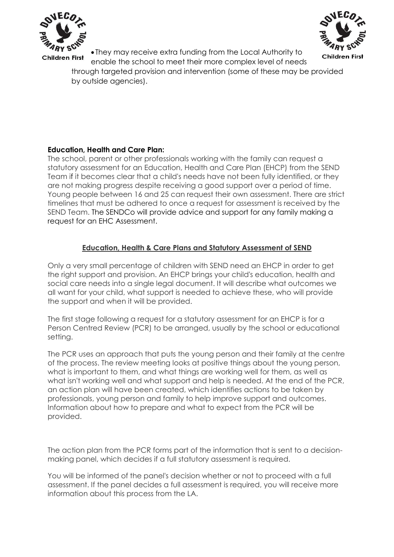



• They may receive extra funding from the Local Authority to enable the school to meet their more complex level of needs

through targeted provision and intervention (some of these may be provided by outside agencies).

#### **Education, Health and Care Plan:**

The school, parent or other professionals working with the family can [request a](http://www.nottinghamcity.gov.uk/EHCPrequestform)  [statutory assessment for an Education, Health and Care Plan \(EHCP\) from the SEND](http://www.nottinghamcity.gov.uk/EHCPrequestform) Team if it becomes clear that a child's needs have not been fully identified, or they are not making progress despite receiving a good support over a period of time. Young people between 16 and 25 can request their own assessment. There are strict timelines that must be adhered to once a request for assessment is received by the SEND Team. The SENDCo will provide advice and support for any family making a request for an EHC Assessment.

#### **Education, Health & Care Plans and Statutory Assessment of SEND**

Only a very small percentage of children with SEND need an EHCP in order to get the right support and provision. An EHCP brings your child's education, health and social care needs into a single legal document. It will describe what outcomes we all want for your child, what support is needed to achieve these, who will provide the support and when it will be provided.

The first stage following a request for a statutory assessment for an EHCP is for a Person Centred Review (PCR) to be arranged, usually by the school or educational setting.

The PCR uses an approach that puts the young person and their family at the centre of the process. The review meeting looks at positive things about the young person, what is important to them, and what things are working well for them, as well as what isn't working well and what support and help is needed. At the end of the PCR, an action plan will have been created, which identifies actions to be taken by professionals, young person and family to help improve support and outcomes. Information about how to prepare and what to expect from the PCR will be provided.

The action plan from the PCR forms part of the information that is sent to a decisionmaking panel, which decides if a full statutory assessment is required.

You will be informed of the panel's decision whether or not to proceed with a full assessment. If the panel decides a full assessment is required, you will receive more information about this process from the LA.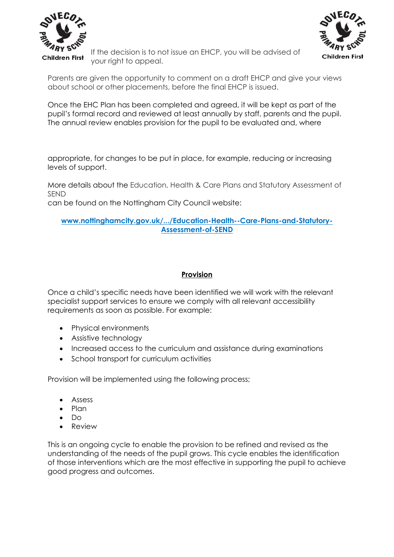



If the decision is to not issue an EHCP, you will be advised of your right to appeal.

Parents are given the opportunity to comment on a draft EHCP and give your views about school or other placements, before the final EHCP is issued.

Once the EHC Plan has been completed and agreed, it will be kept as part of the pupil's formal record and reviewed at least annually by staff, parents and the pupil. The annual review enables provision for the pupil to be evaluated and, where

appropriate, for changes to be put in place, for example, reducing or increasing levels of support.

More details about the Education, Health & Care Plans and Statutory Assessment of SEND

can be found on the Nottingham City Council website:

#### **www.nottinghamcity.gov.uk/.../Education-Health--Care-Plans-and-Statutory-Assessment-of-SEND**

#### **Provision**

Once a child's specific needs have been identified we will work with the relevant specialist support services to ensure we comply with all relevant accessibility requirements as soon as possible. For example:

- Physical environments
- Assistive technology
- Increased access to the curriculum and assistance during examinations
- School transport for curriculum activities

Provision will be implemented using the following process;

- Assess
- Plan
- Do
- Review

This is an ongoing cycle to enable the provision to be refined and revised as the understanding of the needs of the pupil grows. This cycle enables the identification of those interventions which are the most effective in supporting the pupil to achieve good progress and outcomes.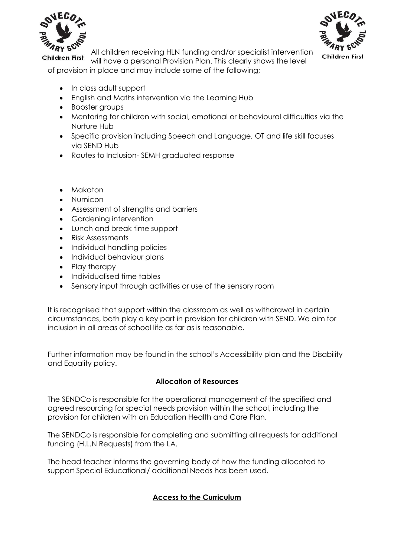

**Children First** 



All children receiving HLN funding and/or specialist intervention

will have a personal Provision Plan. This clearly shows the level of provision in place and may include some of the following;

- In class adult support
- English and Maths intervention via the Learning Hub
- Booster groups
- Mentoring for children with social, emotional or behavioural difficulties via the Nurture Hub
- Specific provision including Speech and Language, OT and life skill focuses via SEND Hub
- Routes to Inclusion- SEMH graduated response
- Makaton
- Numicon
- Assessment of strengths and barriers
- Gardening intervention
- Lunch and break time support
- Risk Assessments
- Individual handling policies
- Individual behaviour plans
- Play therapy
- Individualised time tables
- Sensory input through activities or use of the sensory room

It is recognised that support within the classroom as well as withdrawal in certain circumstances, both play a key part in provision for children with SEND. We aim for inclusion in all areas of school life as far as is reasonable.

Further information may be found in the school's Accessibility plan and the Disability and Equality policy.

#### **Allocation of Resources**

The SENDCo is responsible for the operational management of the specified and agreed resourcing for special needs provision within the school, including the provision for children with an Education Health and Care Plan.

The SENDCo is responsible for completing and submitting all requests for additional funding (H.L.N Requests) from the LA.

The head teacher informs the governing body of how the funding allocated to support Special Educational/ additional Needs has been used.

#### **Access to the Curriculum**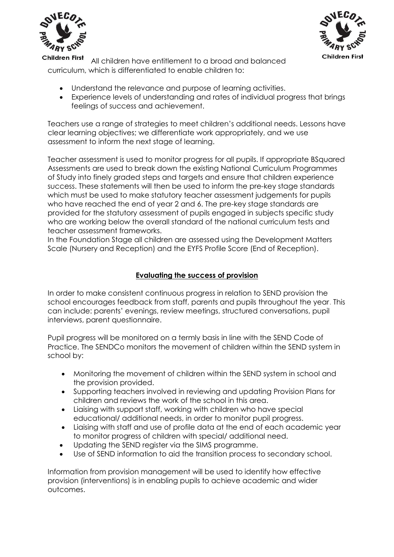



**Children First** All children have entitlement to a broad and balanced curriculum, which is differentiated to enable children to:

- Understand the relevance and purpose of learning activities.
- Experience levels of understanding and rates of individual progress that brings feelings of success and achievement.

Teachers use a range of strategies to meet children's additional needs. Lessons have clear learning objectives; we differentiate work appropriately, and we use assessment to inform the next stage of learning.

Teacher assessment is used to monitor progress for all pupils. If appropriate BSquared Assessments are used to break down the existing National Curriculum Programmes of Study into finely graded steps and targets and ensure that children experience success. These statements will then be used to inform the pre-key stage standards which must be used to make statutory teacher assessment judgements for pupils who have reached the end of year 2 and 6. The pre-key stage standards are provided for the statutory assessment of pupils engaged in subjects specific study who are working below the overall standard of the national curriculum tests and teacher assessment frameworks.

In the Foundation Stage all children are assessed using the Development Matters Scale (Nursery and Reception) and the EYFS Profile Score (End of Reception).

#### **Evaluating the success of provision**

In order to make consistent continuous progress in relation to SEND provision the school encourages feedback from staff, parents and pupils throughout the year. This can include: parents' evenings, review meetings, structured conversations, pupil interviews, parent questionnaire.

Pupil progress will be monitored on a termly basis in line with the SEND Code of Practice. The SENDCo monitors the movement of children within the SEND system in school by:

- Monitoring the movement of children within the SEND system in school and the provision provided.
- Supporting teachers involved in reviewing and updating Provision Plans for children and reviews the work of the school in this area.
- Liaising with support staff, working with children who have special educational/ additional needs, in order to monitor pupil progress.
- Liaising with staff and use of profile data at the end of each academic year to monitor progress of children with special/ additional need.
- Updating the SEND register via the SIMS programme.
- Use of SEND information to aid the transition process to secondary school.

Information from provision management will be used to identify how effective provision (interventions) is in enabling pupils to achieve academic and wider outcomes.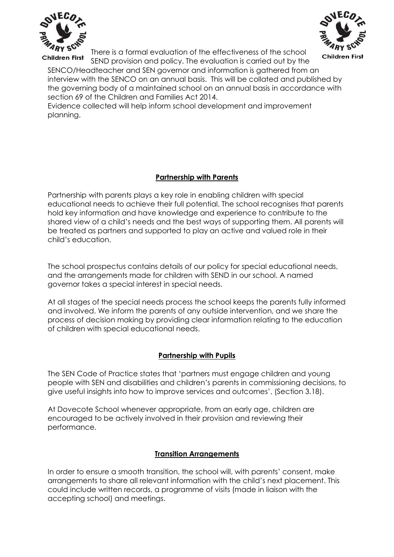

There is a formal evaluation of the effectiveness of the school **Children First** 



SEND provision and policy. The evaluation is carried out by the SENCO/Headteacher and SEN governor and information is gathered from an interview with the SENCO on an annual basis. This will be collated and published by the governing body of a maintained school on an annual basis in accordance with section 69 of the Children and Families Act 2014.

Evidence collected will help inform school development and improvement planning.

#### **Partnership with Parents**

Partnership with parents plays a key role in enabling children with special educational needs to achieve their full potential. The school recognises that parents hold key information and have knowledge and experience to contribute to the shared view of a child's needs and the best ways of supporting them. All parents will be treated as partners and supported to play an active and valued role in their child's education.

The school prospectus contains details of our policy for special educational needs, and the arrangements made for children with SEND in our school. A named governor takes a special interest in special needs.

At all stages of the special needs process the school keeps the parents fully informed and involved. We inform the parents of any outside intervention, and we share the process of decision making by providing clear information relating to the education of children with special educational needs.

#### **Partnership with Pupils**

The SEN Code of Practice states that 'partners must engage children and young people with SEN and disabilities and children's parents in commissioning decisions, to give useful insights into how to improve services and outcomes', (Section 3.18).

At Dovecote School whenever appropriate, from an early age, children are encouraged to be actively involved in their provision and reviewing their performance.

#### **Transition Arrangements**

In order to ensure a smooth transition, the school will, with parents' consent, make arrangements to share all relevant information with the child's next placement. This could include written records, a programme of visits (made in liaison with the accepting school) and meetings.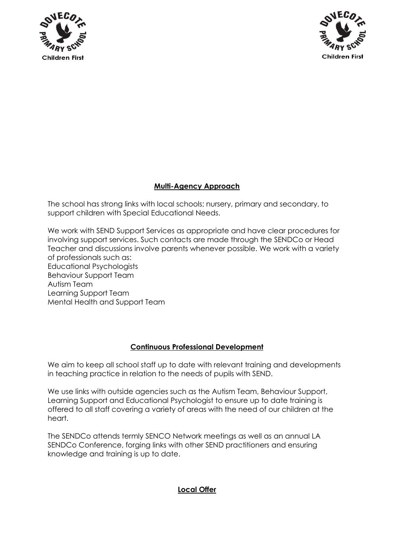



#### **Multi-Agency Approach**

The school has strong links with local schools; nursery, primary and secondary, to support children with Special Educational Needs.

We work with SEND Support Services as appropriate and have clear procedures for involving support services. Such contacts are made through the SENDCo or Head Teacher and discussions involve parents whenever possible. We work with a variety of professionals such as: Educational Psychologists Behaviour Support Team Autism Team Learning Support Team Mental Health and Support Team

#### **Continuous Professional Development**

We aim to keep all school staff up to date with relevant training and developments in teaching practice in relation to the needs of pupils with SEND.

We use links with outside agencies such as the Autism Team, Behaviour Support, Learning Support and Educational Psychologist to ensure up to date training is offered to all staff covering a variety of areas with the need of our children at the heart.

The SENDCo attends termly SENCO Network meetings as well as an annual LA SENDCo Conference, forging links with other SEND practitioners and ensuring knowledge and training is up to date.

#### **Local Offer**